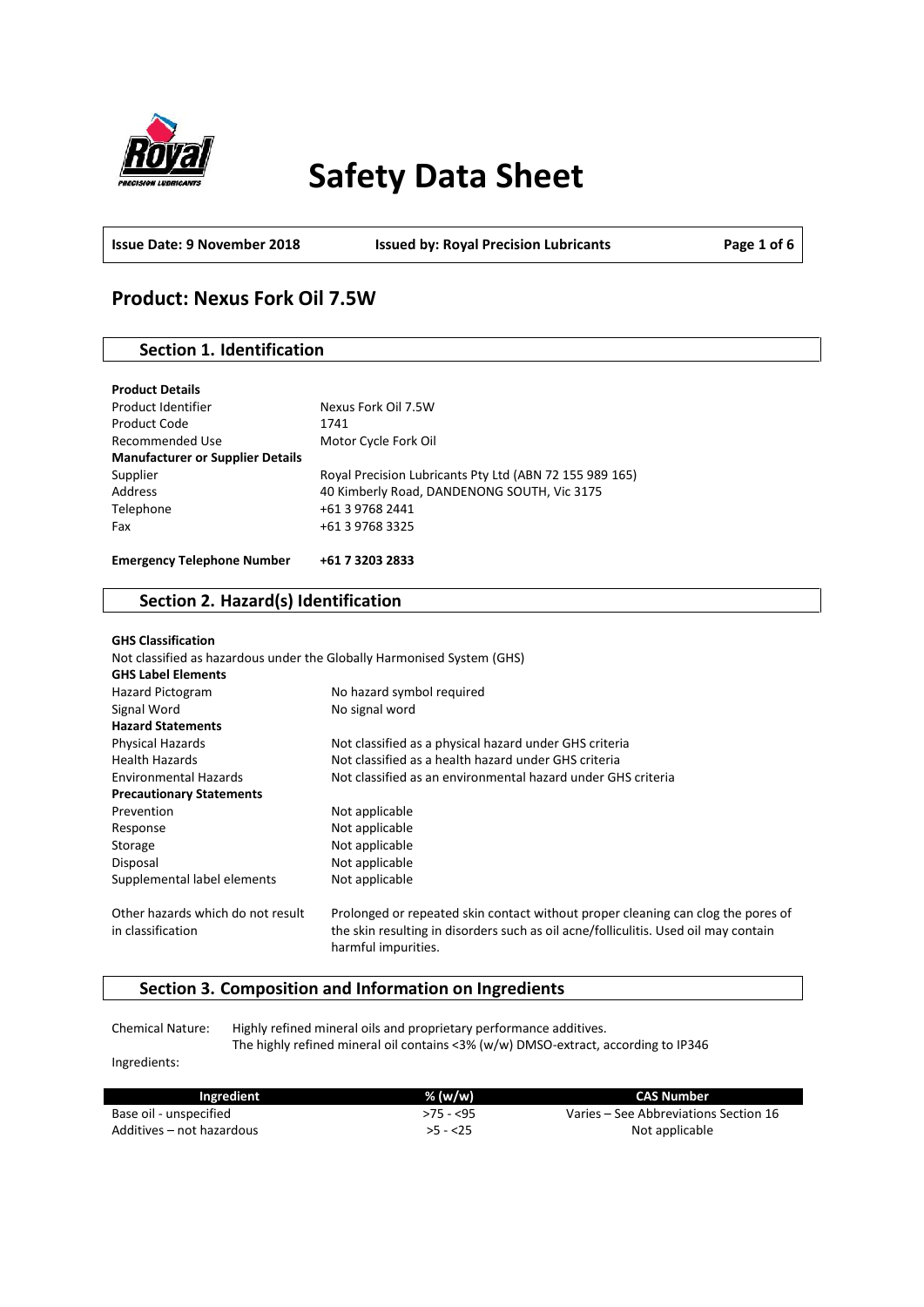

# **Safety Data Sheet**

**Issue Date: 9 November 2018 Issued by: Royal Precision Lubricants Page 1 of 6**

# **Product: Nexus Fork Oil 7.5W**

# **Section 1. Identification**

| <b>Manufacturer or Supplier Details</b><br>Supplier | Royal Precision Lubricants Pty Ltd (ABN 72 155 989 165) |
|-----------------------------------------------------|---------------------------------------------------------|
| Address                                             | 40 Kimberly Road, DANDENONG SOUTH, Vic 3175             |
| Telephone                                           | +61 3 9768 2441                                         |
| Fax                                                 | +61 3 9768 3325                                         |
| <b>Emergency Telephone Number</b>                   | +61 7 3203 2833                                         |

# **Section 2. Hazard(s) Identification**

| <b>GHS Classification</b><br>Not classified as hazardous under the Globally Harmonised System (GHS)<br><b>GHS Label Elements</b> |                                                                                                                                                                                                |
|----------------------------------------------------------------------------------------------------------------------------------|------------------------------------------------------------------------------------------------------------------------------------------------------------------------------------------------|
| Hazard Pictogram                                                                                                                 | No hazard symbol required                                                                                                                                                                      |
| Signal Word                                                                                                                      | No signal word                                                                                                                                                                                 |
| <b>Hazard Statements</b>                                                                                                         |                                                                                                                                                                                                |
| <b>Physical Hazards</b>                                                                                                          | Not classified as a physical hazard under GHS criteria                                                                                                                                         |
| <b>Health Hazards</b>                                                                                                            | Not classified as a health hazard under GHS criteria                                                                                                                                           |
| <b>Environmental Hazards</b>                                                                                                     | Not classified as an environmental hazard under GHS criteria                                                                                                                                   |
| <b>Precautionary Statements</b>                                                                                                  |                                                                                                                                                                                                |
| Prevention                                                                                                                       | Not applicable                                                                                                                                                                                 |
| Response                                                                                                                         | Not applicable                                                                                                                                                                                 |
| Storage                                                                                                                          | Not applicable                                                                                                                                                                                 |
| Disposal                                                                                                                         | Not applicable                                                                                                                                                                                 |
| Supplemental label elements                                                                                                      | Not applicable                                                                                                                                                                                 |
| Other hazards which do not result<br>in classification                                                                           | Prolonged or repeated skin contact without proper cleaning can clog the pores of<br>the skin resulting in disorders such as oil acne/folliculitis. Used oil may contain<br>harmful impurities. |

# **Section 3. Composition and Information on Ingredients**

Chemical Nature: Highly refined mineral oils and proprietary performance additives. The highly refined mineral oil contains <3% (w/w) DMSO-extract, according to IP346

Ingredients:

| Ingredient                | % $(w/w)$ | <b>CAS Number</b>                     |
|---------------------------|-----------|---------------------------------------|
| Base oil - unspecified    | >75 - <95 | Varies – See Abbreviations Section 16 |
| Additives – not hazardous | $>5 - 25$ | Not applicable                        |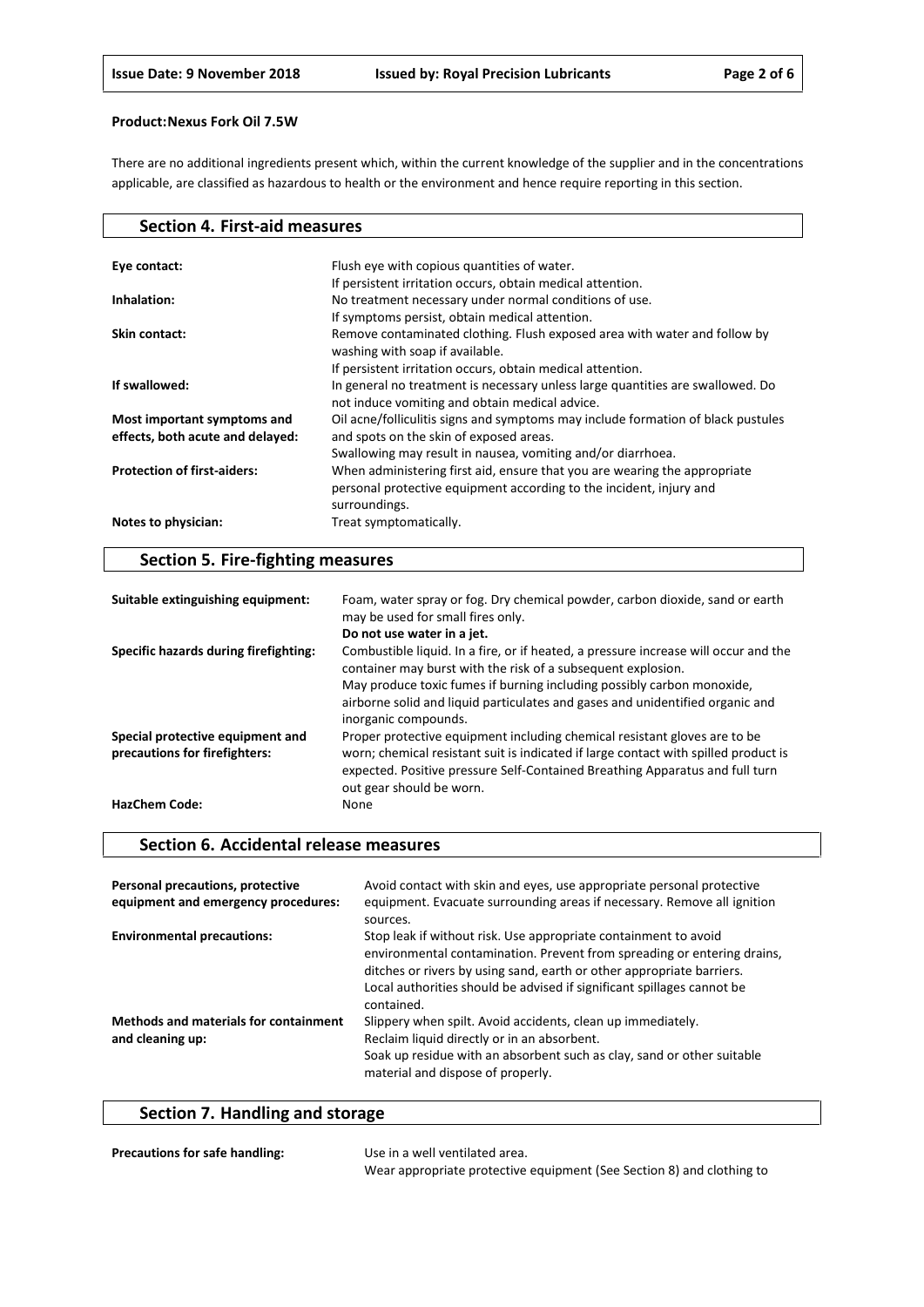There are no additional ingredients present which, within the current knowledge of the supplier and in the concentrations applicable, are classified as hazardous to health or the environment and hence require reporting in this section.

| <b>Section 4. First-aid measures</b> |                                                                                                                                  |
|--------------------------------------|----------------------------------------------------------------------------------------------------------------------------------|
|                                      |                                                                                                                                  |
| Eye contact:                         | Flush eye with copious quantities of water.                                                                                      |
|                                      | If persistent irritation occurs, obtain medical attention.                                                                       |
| Inhalation:                          | No treatment necessary under normal conditions of use.                                                                           |
|                                      | If symptoms persist, obtain medical attention.                                                                                   |
| Skin contact:                        | Remove contaminated clothing. Flush exposed area with water and follow by                                                        |
|                                      | washing with soap if available.                                                                                                  |
|                                      | If persistent irritation occurs, obtain medical attention.                                                                       |
| If swallowed:                        | In general no treatment is necessary unless large quantities are swallowed. Do<br>not induce vomiting and obtain medical advice. |
| Most important symptoms and          | Oil acne/folliculitis signs and symptoms may include formation of black pustules                                                 |
| effects, both acute and delayed:     | and spots on the skin of exposed areas.                                                                                          |
|                                      | Swallowing may result in nausea, vomiting and/or diarrhoea.                                                                      |
| <b>Protection of first-aiders:</b>   | When administering first aid, ensure that you are wearing the appropriate                                                        |
|                                      | personal protective equipment according to the incident, injury and                                                              |
|                                      | surroundings.                                                                                                                    |
| Notes to physician:                  | Treat symptomatically.                                                                                                           |

# **Section 5. Fire-fighting measures**

| Suitable extinguishing equipment:     | Foam, water spray or fog. Dry chemical powder, carbon dioxide, sand or earth<br>may be used for small fires only.                                                                               |
|---------------------------------------|-------------------------------------------------------------------------------------------------------------------------------------------------------------------------------------------------|
|                                       | Do not use water in a jet.                                                                                                                                                                      |
| Specific hazards during firefighting: | Combustible liquid. In a fire, or if heated, a pressure increase will occur and the<br>container may burst with the risk of a subsequent explosion.                                             |
|                                       | May produce toxic fumes if burning including possibly carbon monoxide,                                                                                                                          |
|                                       | airborne solid and liquid particulates and gases and unidentified organic and<br>inorganic compounds.                                                                                           |
| Special protective equipment and      | Proper protective equipment including chemical resistant gloves are to be                                                                                                                       |
| precautions for firefighters:         | worn; chemical resistant suit is indicated if large contact with spilled product is<br>expected. Positive pressure Self-Contained Breathing Apparatus and full turn<br>out gear should be worn. |
| <b>HazChem Code:</b>                  | None                                                                                                                                                                                            |

## **Section 6. Accidental release measures**

| Personal precautions, protective<br>equipment and emergency procedures: | Avoid contact with skin and eyes, use appropriate personal protective<br>equipment. Evacuate surrounding areas if necessary. Remove all ignition<br>sources.                                                                                                                                                |
|-------------------------------------------------------------------------|-------------------------------------------------------------------------------------------------------------------------------------------------------------------------------------------------------------------------------------------------------------------------------------------------------------|
| <b>Environmental precautions:</b>                                       | Stop leak if without risk. Use appropriate containment to avoid<br>environmental contamination. Prevent from spreading or entering drains,<br>ditches or rivers by using sand, earth or other appropriate barriers.<br>Local authorities should be advised if significant spillages cannot be<br>contained. |
| <b>Methods and materials for containment</b><br>and cleaning up:        | Slippery when spilt. Avoid accidents, clean up immediately.<br>Reclaim liquid directly or in an absorbent.<br>Soak up residue with an absorbent such as clay, sand or other suitable<br>material and dispose of properly.                                                                                   |

# **Section 7. Handling and storage**

| <b>Precautions for safe handling:</b> | Use in a well ventilated area.                                        |
|---------------------------------------|-----------------------------------------------------------------------|
|                                       | Wear appropriate protective equipment (See Section 8) and clothing to |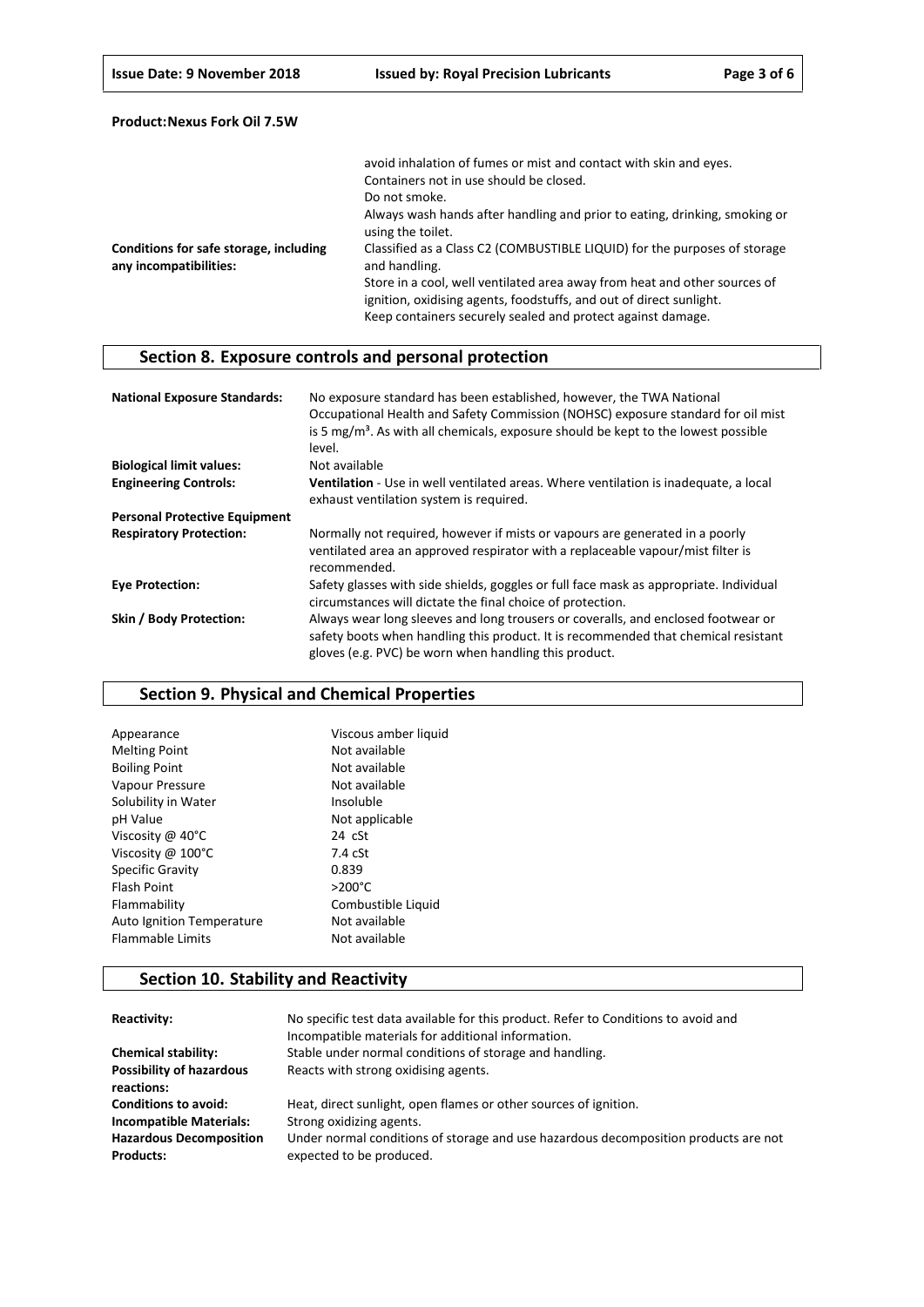|                                                                  | avoid inhalation of fumes or mist and contact with skin and eyes.                               |
|------------------------------------------------------------------|-------------------------------------------------------------------------------------------------|
|                                                                  | Containers not in use should be closed.                                                         |
|                                                                  | Do not smoke.                                                                                   |
|                                                                  | Always wash hands after handling and prior to eating, drinking, smoking or<br>using the toilet. |
| Conditions for safe storage, including<br>any incompatibilities: | Classified as a Class C2 (COMBUSTIBLE LIQUID) for the purposes of storage<br>and handling.      |
|                                                                  | Store in a cool, well ventilated area away from heat and other sources of                       |
|                                                                  | ignition, oxidising agents, foodstuffs, and out of direct sunlight.                             |
|                                                                  | Keep containers securely sealed and protect against damage.                                     |

# **Section 8. Exposure controls and personal protection**

| <b>National Exposure Standards:</b>  | No exposure standard has been established, however, the TWA National<br>Occupational Health and Safety Commission (NOHSC) exposure standard for oil mist<br>is 5 $mg/m3$ . As with all chemicals, exposure should be kept to the lowest possible<br>level. |
|--------------------------------------|------------------------------------------------------------------------------------------------------------------------------------------------------------------------------------------------------------------------------------------------------------|
| <b>Biological limit values:</b>      | Not available                                                                                                                                                                                                                                              |
| <b>Engineering Controls:</b>         | Ventilation - Use in well ventilated areas. Where ventilation is inadequate, a local                                                                                                                                                                       |
|                                      | exhaust ventilation system is required.                                                                                                                                                                                                                    |
| <b>Personal Protective Equipment</b> |                                                                                                                                                                                                                                                            |
| <b>Respiratory Protection:</b>       | Normally not required, however if mists or vapours are generated in a poorly<br>ventilated area an approved respirator with a replaceable vapour/mist filter is<br>recommended.                                                                            |
| <b>Eve Protection:</b>               | Safety glasses with side shields, goggles or full face mask as appropriate. Individual<br>circumstances will dictate the final choice of protection.                                                                                                       |
| Skin / Body Protection:              | Always wear long sleeves and long trousers or coveralls, and enclosed footwear or<br>safety boots when handling this product. It is recommended that chemical resistant<br>gloves (e.g. PVC) be worn when handling this product.                           |

## **Section 9. Physical and Chemical Properties**

| Appearance                  | Viscous amber liquid |
|-----------------------------|----------------------|
| <b>Melting Point</b>        | Not available        |
| <b>Boiling Point</b>        | Not available        |
| Vapour Pressure             | Not available        |
| Solubility in Water         | Insoluble            |
| pH Value                    | Not applicable       |
| Viscosity @ 40°C            | $24$ $cSt$           |
| Viscosity @ $100^{\circ}$ C | $7.4$ $cSt$          |
| <b>Specific Gravity</b>     | 0.839                |
| <b>Flash Point</b>          | $>200^{\circ}$ C     |
| Flammability                | Combustible Liquid   |
| Auto Ignition Temperature   | Not available        |
| <b>Flammable Limits</b>     | Not available        |

# **Section 10. Stability and Reactivity**

| Reactivity:                                        | No specific test data available for this product. Refer to Conditions to avoid and<br>Incompatible materials for additional information. |
|----------------------------------------------------|------------------------------------------------------------------------------------------------------------------------------------------|
| <b>Chemical stability:</b>                         | Stable under normal conditions of storage and handling.                                                                                  |
| <b>Possibility of hazardous</b><br>reactions:      | Reacts with strong oxidising agents.                                                                                                     |
| <b>Conditions to avoid:</b>                        | Heat, direct sunlight, open flames or other sources of ignition.                                                                         |
| <b>Incompatible Materials:</b>                     | Strong oxidizing agents.                                                                                                                 |
| <b>Hazardous Decomposition</b><br><b>Products:</b> | Under normal conditions of storage and use hazardous decomposition products are not<br>expected to be produced.                          |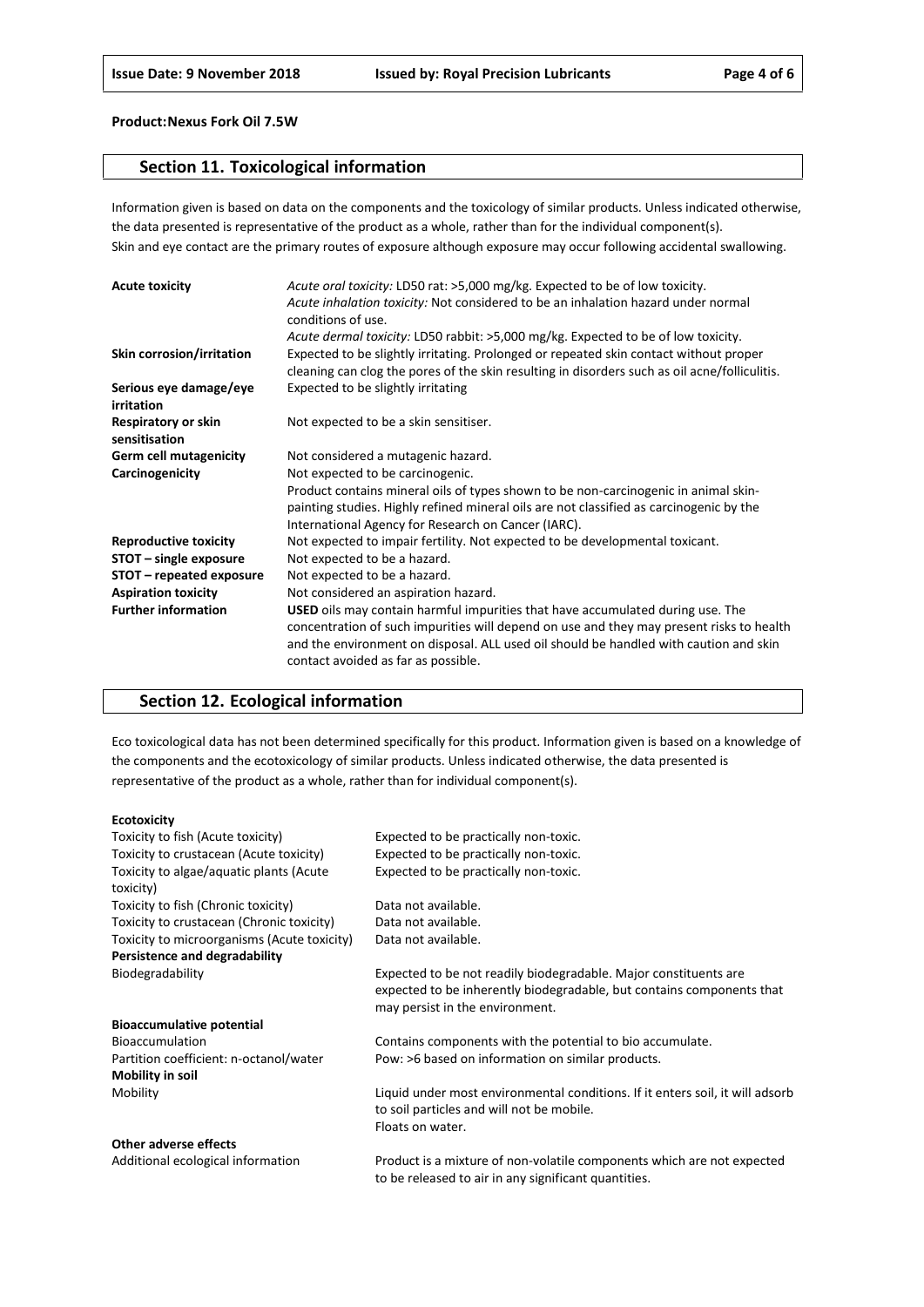## **Section 11. Toxicological information**

Information given is based on data on the components and the toxicology of similar products. Unless indicated otherwise, the data presented is representative of the product as a whole, rather than for the individual component(s). Skin and eye contact are the primary routes of exposure although exposure may occur following accidental swallowing.

| <b>Acute toxicity</b>                | Acute oral toxicity: LD50 rat: >5,000 mg/kg. Expected to be of low toxicity.<br>Acute inhalation toxicity: Not considered to be an inhalation hazard under normal<br>conditions of use.                                                                                                                           |
|--------------------------------------|-------------------------------------------------------------------------------------------------------------------------------------------------------------------------------------------------------------------------------------------------------------------------------------------------------------------|
|                                      | Acute dermal toxicity: LD50 rabbit: >5,000 mg/kg. Expected to be of low toxicity.                                                                                                                                                                                                                                 |
| Skin corrosion/irritation            | Expected to be slightly irritating. Prolonged or repeated skin contact without proper<br>cleaning can clog the pores of the skin resulting in disorders such as oil acne/folliculitis.                                                                                                                            |
| Serious eye damage/eye<br>irritation | Expected to be slightly irritating                                                                                                                                                                                                                                                                                |
| Respiratory or skin<br>sensitisation | Not expected to be a skin sensitiser.                                                                                                                                                                                                                                                                             |
| <b>Germ cell mutagenicity</b>        | Not considered a mutagenic hazard.                                                                                                                                                                                                                                                                                |
| Carcinogenicity                      | Not expected to be carcinogenic.                                                                                                                                                                                                                                                                                  |
|                                      | Product contains mineral oils of types shown to be non-carcinogenic in animal skin-                                                                                                                                                                                                                               |
|                                      | painting studies. Highly refined mineral oils are not classified as carcinogenic by the                                                                                                                                                                                                                           |
|                                      | International Agency for Research on Cancer (IARC).                                                                                                                                                                                                                                                               |
| <b>Reproductive toxicity</b>         | Not expected to impair fertility. Not expected to be developmental toxicant.                                                                                                                                                                                                                                      |
| STOT - single exposure               | Not expected to be a hazard.                                                                                                                                                                                                                                                                                      |
| STOT - repeated exposure             | Not expected to be a hazard.                                                                                                                                                                                                                                                                                      |
| <b>Aspiration toxicity</b>           | Not considered an aspiration hazard.                                                                                                                                                                                                                                                                              |
| <b>Further information</b>           | <b>USED</b> oils may contain harmful impurities that have accumulated during use. The<br>concentration of such impurities will depend on use and they may present risks to health<br>and the environment on disposal. ALL used oil should be handled with caution and skin<br>contact avoided as far as possible. |

## **Section 12. Ecological information**

Eco toxicological data has not been determined specifically for this product. Information given is based on a knowledge of the components and the ecotoxicology of similar products. Unless indicated otherwise, the data presented is representative of the product as a whole, rather than for individual component(s).

#### **Ecotoxicity**

| Toxicity to fish (Acute toxicity)           | Expected to be practically non-toxic.                                         |
|---------------------------------------------|-------------------------------------------------------------------------------|
| Toxicity to crustacean (Acute toxicity)     | Expected to be practically non-toxic.                                         |
| Toxicity to algae/aquatic plants (Acute     | Expected to be practically non-toxic.                                         |
| toxicity)                                   |                                                                               |
| Toxicity to fish (Chronic toxicity)         | Data not available.                                                           |
| Toxicity to crustacean (Chronic toxicity)   | Data not available.                                                           |
| Toxicity to microorganisms (Acute toxicity) | Data not available.                                                           |
| Persistence and degradability               |                                                                               |
| Biodegradability                            | Expected to be not readily biodegradable. Major constituents are              |
|                                             | expected to be inherently biodegradable, but contains components that         |
|                                             | may persist in the environment.                                               |
| <b>Bioaccumulative potential</b>            |                                                                               |
| <b>Bioaccumulation</b>                      | Contains components with the potential to bio accumulate.                     |
| Partition coefficient: n-octanol/water      | Pow: >6 based on information on similar products.                             |
| Mobility in soil                            |                                                                               |
| Mobility                                    | Liquid under most environmental conditions. If it enters soil, it will adsorb |
|                                             | to soil particles and will not be mobile.                                     |
|                                             | Floats on water.                                                              |
| Other adverse effects                       |                                                                               |
| Additional ecological information           | Product is a mixture of non-volatile components which are not expected        |

to be released to air in any significant quantities.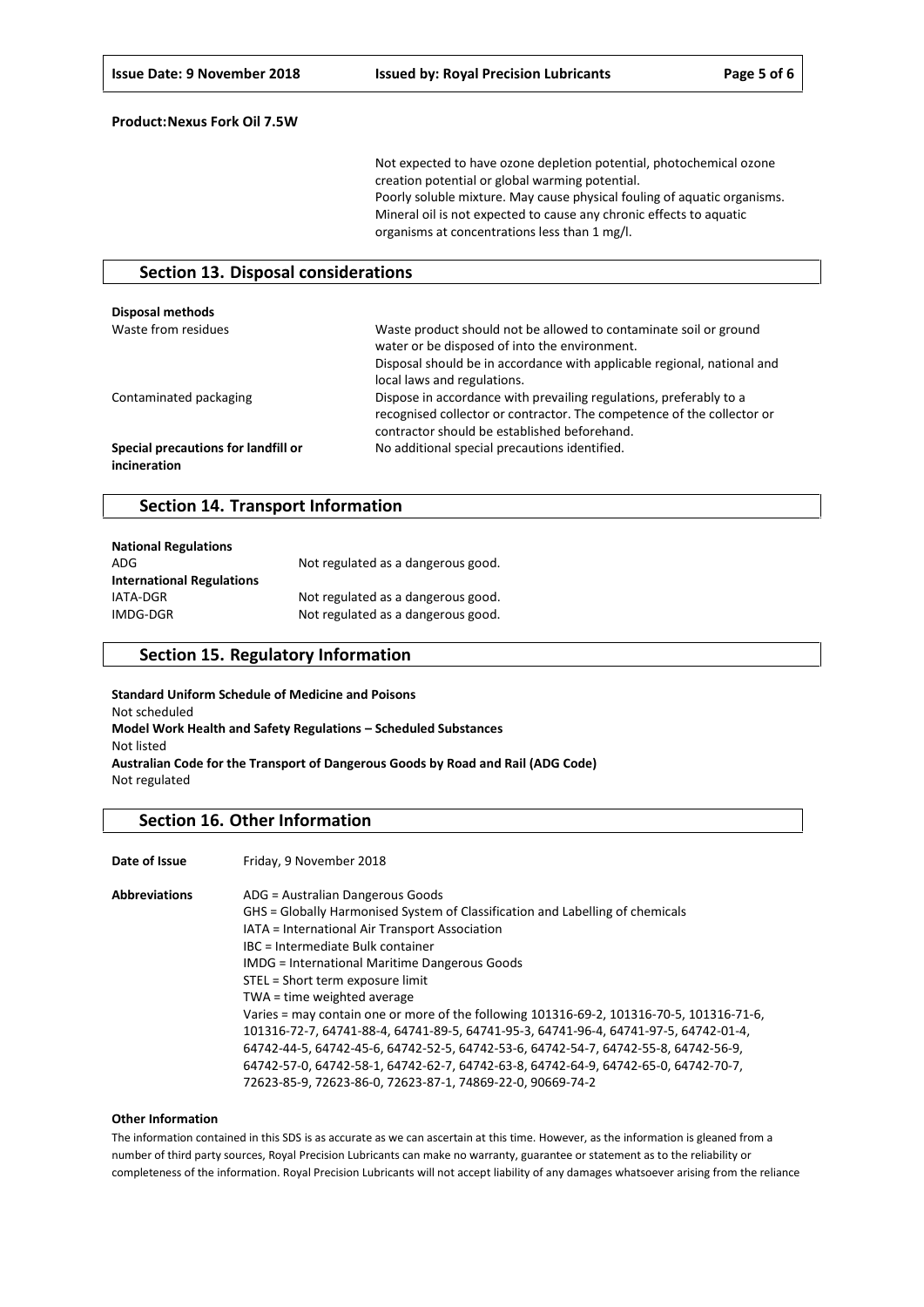Not expected to have ozone depletion potential, photochemical ozone creation potential or global warming potential. Poorly soluble mixture. May cause physical fouling of aquatic organisms. Mineral oil is not expected to cause any chronic effects to aquatic organisms at concentrations less than 1 mg/l.

## **Section 13. Disposal considerations**

| <b>Disposal methods</b>                             |                                                                                                                                                                                                                              |
|-----------------------------------------------------|------------------------------------------------------------------------------------------------------------------------------------------------------------------------------------------------------------------------------|
| Waste from residues                                 | Waste product should not be allowed to contaminate soil or ground<br>water or be disposed of into the environment.<br>Disposal should be in accordance with applicable regional, national and<br>local laws and regulations. |
| Contaminated packaging                              | Dispose in accordance with prevailing regulations, preferably to a<br>recognised collector or contractor. The competence of the collector or<br>contractor should be established beforehand.                                 |
| Special precautions for landfill or<br>incineration | No additional special precautions identified.                                                                                                                                                                                |

## **Section 14. Transport Information**

| <b>National Regulations</b>      |                                    |
|----------------------------------|------------------------------------|
| ADG                              | Not regulated as a dangerous good. |
| <b>International Regulations</b> |                                    |
| IATA-DGR                         | Not regulated as a dangerous good. |
| IMDG-DGR                         | Not regulated as a dangerous good. |

## **Section 15. Regulatory Information**

**Standard Uniform Schedule of Medicine and Poisons** Not scheduled **Model Work Health and Safety Regulations – Scheduled Substances** Not listed **Australian Code for the Transport of Dangerous Goods by Road and Rail (ADG Code)** Not regulated

## **Section 16. Other Information**

Date of Issue Friday, 9 November 2018

| <b>Abbreviations</b> | ADG = Australian Dangerous Goods                                                         |
|----------------------|------------------------------------------------------------------------------------------|
|                      | GHS = Globally Harmonised System of Classification and Labelling of chemicals            |
|                      | IATA = International Air Transport Association                                           |
|                      | IBC = Intermediate Bulk container                                                        |
|                      | <b>IMDG</b> = International Maritime Dangerous Goods                                     |
|                      | STEL = Short term exposure limit                                                         |
|                      | TWA = time weighted average                                                              |
|                      | Varies = may contain one or more of the following 101316-69-2, 101316-70-5, 101316-71-6, |
|                      | 101316-72-7, 64741-88-4, 64741-89-5, 64741-95-3, 64741-96-4, 64741-97-5, 64742-01-4,     |
|                      | 64742-44-5, 64742-45-6, 64742-52-5, 64742-53-6, 64742-54-7, 64742-55-8, 64742-56-9,      |
|                      | 64742-57-0, 64742-58-1, 64742-62-7, 64742-63-8, 64742-64-9, 64742-65-0, 64742-70-7,      |
|                      | 72623-85-9, 72623-86-0, 72623-87-1, 74869-22-0, 90669-74-2                               |

#### **Other Information**

The information contained in this SDS is as accurate as we can ascertain at this time. However, as the information is gleaned from a number of third party sources, Royal Precision Lubricants can make no warranty, guarantee or statement as to the reliability or completeness of the information. Royal Precision Lubricants will not accept liability of any damages whatsoever arising from the reliance